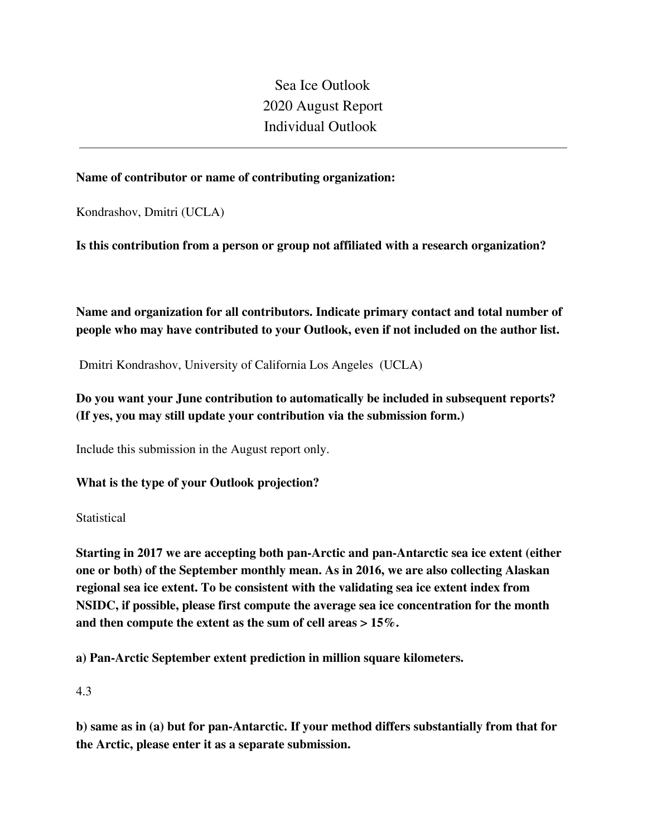Sea Ice Outlook 2020 August Report Individual Outlook

### **Name of contributor or name of contributing organization:**

Kondrashov, Dmitri (UCLA)

**Is this contribution from a person or group not affiliated with a research organization?** 

**Name and organization for all contributors. Indicate primary contact and total number of people who may have contributed to your Outlook, even if not included on the author list.**

Dmitri Kondrashov, University of California Los Angeles (UCLA)

# **Do you want your June contribution to automatically be included in subsequent reports? (If yes, you may still update your contribution via the submission form.)**

Include this submission in the August report only.

### **What is the type of your Outlook projection?**

**Statistical** 

**Starting in 2017 we are accepting both pan-Arctic and pan-Antarctic sea ice extent (either one or both) of the September monthly mean. As in 2016, we are also collecting Alaskan regional sea ice extent. To be consistent with the validating sea ice extent index from NSIDC, if possible, please first compute the average sea ice concentration for the month and then compute the extent as the sum of cell areas > 15%.**

**a) Pan-Arctic September extent prediction in million square kilometers.**

4.3

**b) same as in (a) but for pan-Antarctic. If your method differs substantially from that for the Arctic, please enter it as a separate submission.**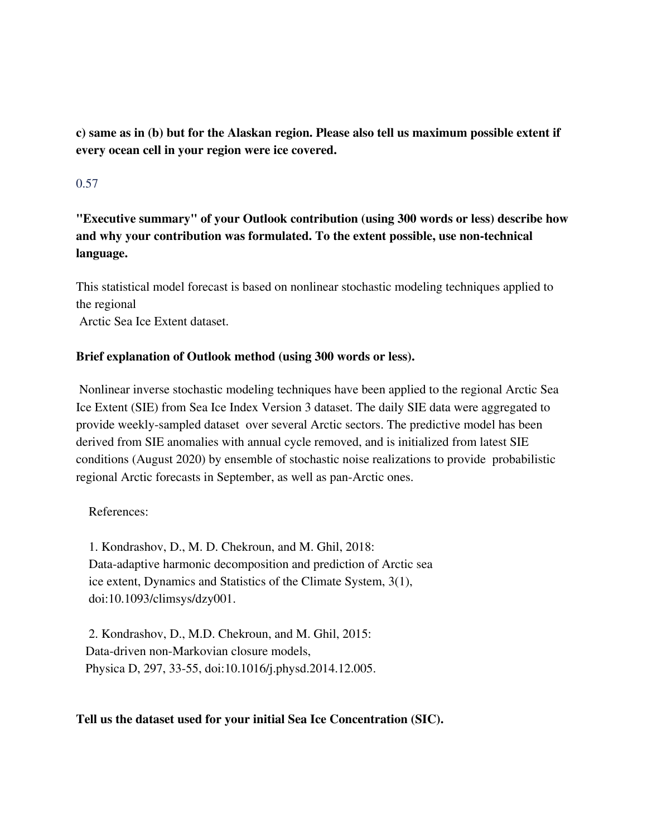**c) same as in (b) but for the Alaskan region. Please also tell us maximum possible extent if every ocean cell in your region were ice covered.**

## 0.57

**"Executive summary" of your Outlook contribution (using 300 words or less) describe how and why your contribution was formulated. To the extent possible, use non-technical language.**

This statistical model forecast is based on nonlinear stochastic modeling techniques applied to the regional

Arctic Sea Ice Extent dataset.

### **Brief explanation of Outlook method (using 300 words or less).**

Nonlinear inverse stochastic modeling techniques have been applied to the regional Arctic Sea Ice Extent (SIE) from Sea Ice Index Version 3 dataset. The daily SIE data were aggregated to provide weekly-sampled dataset over several Arctic sectors. The predictive model has been derived from SIE anomalies with annual cycle removed, and is initialized from latest SIE conditions (August 2020) by ensemble of stochastic noise realizations to provide probabilistic regional Arctic forecasts in September, as well as pan-Arctic ones.

#### References:

1. Kondrashov, D., M. D. Chekroun, and M. Ghil, 2018: Data-adaptive harmonic decomposition and prediction of Arctic sea ice extent, Dynamics and Statistics of the Climate System, 3(1), doi:10.1093/climsys/dzy001.

2. Kondrashov, D., M.D. Chekroun, and M. Ghil, 2015: Data-driven non-Markovian closure models, Physica D, 297, 33-55, doi:10.1016/j.physd.2014.12.005.

#### **Tell us the dataset used for your initial Sea Ice Concentration (SIC).**